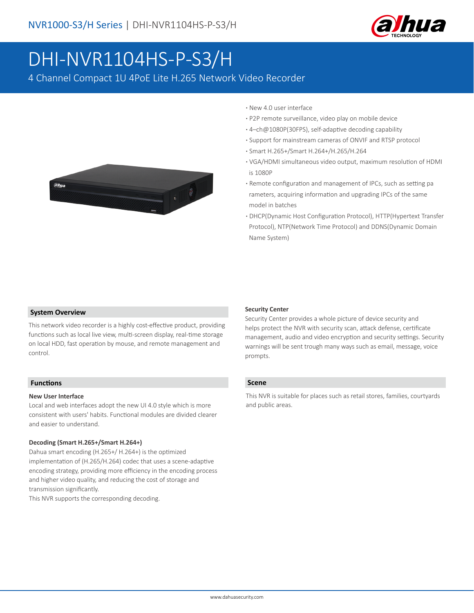

# DHI-NVR1104HS-P-S3/H

4 Channel Compact 1U 4PoE Lite H.265 Network Video Recorder



- **·** New 4.0 user interface
- **·** P2P remote surveillance, video play on mobile device
- **·** 4–ch@1080P(30FPS), self-adaptive decoding capability
- **·** Support for mainstream cameras of ONVIF and RTSP protocol
- **·** Smart H.265+/Smart H.264+/H.265/H.264
- **·** VGA/HDMI simultaneous video output, maximum resolution of HDMI is 1080P
- **·** Remote configuration and management of IPCs, such as setting pa rameters, acquiring information and upgrading IPCs of the same model in batches
- **·** DHCP(Dynamic Host Configuration Protocol), HTTP(Hypertext Transfer Protocol), NTP(Network Time Protocol) and DDNS(Dynamic Domain Name System)

#### **System Overview**

This network video recorder is a highly cost-effective product, providing functions such as local live view, multi-screen display, real-time storage on local HDD, fast operation by mouse, and remote management and control.

## **Functions**

#### **New User Interface**

Local and web interfaces adopt the new UI 4.0 style which is more consistent with users' habits. Functional modules are divided clearer and easier to understand.

#### **Decoding (Smart H.265+/Smart H.264+)**

Dahua smart encoding (H.265+/ H.264+) is the optimized implementation of (H.265/H.264) codec that uses a scene-adaptive encoding strategy, providing more efficiency in the encoding process and higher video quality, and reducing the cost of storage and transmission significantly.

This NVR supports the corresponding decoding.

#### **Security Center**

Security Center provides a whole picture of device security and helps protect the NVR with security scan, attack defense, certificate management, audio and video encryption and security settings. Security warnings will be sent trough many ways such as email, message, voice prompts.

#### **Scene**

This NVR is suitable for places such as retail stores, families, courtyards and public areas.